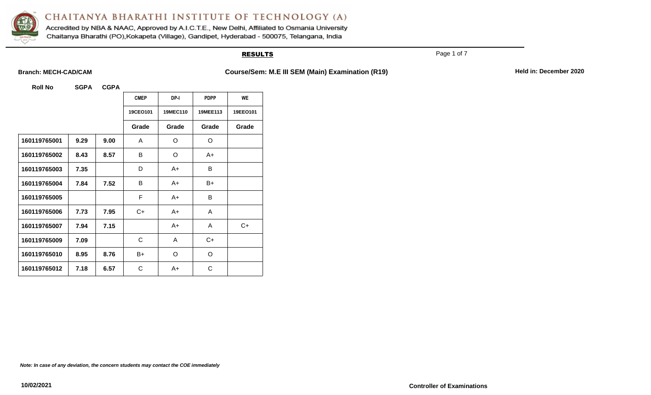

Accredited by NBA & NAAC, Approved by A.I.C.T.E., New Delhi, Affiliated to Osmania University Chaitanya Bharathi (PO), Kokapeta (Village), Gandipet, Hyderabad - 500075, Telangana, India

### **RESULTS**

Page 1 of 7

**Branch: MECH-CAD/CAM Course/Sem: M.E III SEM (Main) Examination (R19) Held in: December 2020** 

**Roll No SGPA CGPA**

|              |      |      | <b>CMEP</b> | DP-I     | <b>PDPP</b> | <b>WE</b> |
|--------------|------|------|-------------|----------|-------------|-----------|
|              |      |      | 19CEO101    | 19MEC110 | 19MEE113    | 19EEO101  |
|              |      |      | Grade       | Grade    | Grade       | Grade     |
| 160119765001 | 9.29 | 9.00 | A           | O        | O           |           |
| 160119765002 | 8.43 | 8.57 | B           | O        | $A+$        |           |
| 160119765003 | 7.35 |      | D           | A+       | B           |           |
| 160119765004 | 7.84 | 7.52 | B           | A+       | B+          |           |
| 160119765005 |      |      | F           | A+       | B           |           |
| 160119765006 | 7.73 | 7.95 | C+          | A+       | A           |           |
| 160119765007 | 7.94 | 7.15 |             | $A+$     | A           | $C+$      |
| 160119765009 | 7.09 |      | C           | A        | $C+$        |           |
| 160119765010 | 8.95 | 8.76 | B+          | O        | O           |           |
| 160119765012 | 7.18 | 6.57 | C           | A+       | C           |           |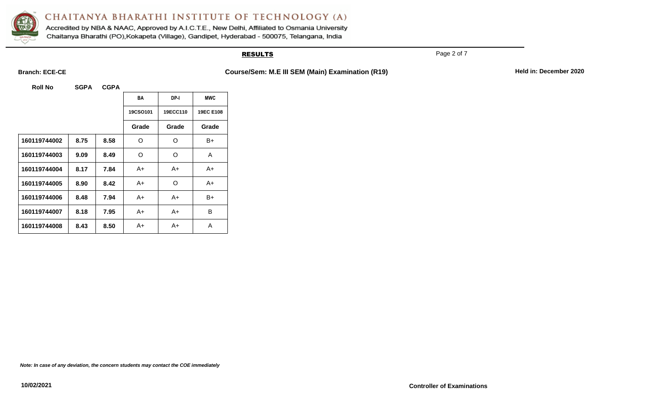

Accredited by NBA & NAAC, Approved by A.I.C.T.E., New Delhi, Affiliated to Osmania University Chaitanya Bharathi (PO), Kokapeta (Village), Gandipet, Hyderabad - 500075, Telangana, India

### **RESULTS**

Page 2 of 7

**Branch: ECE-CE COURSE 2020 COURSE ACTES AND COURSE ACT ALL SEM (Main) Examination (R19) Held in: December 2020** 

**Roll No SGPA CGPA**

|              |      |      | <b>BA</b> | DP-I     | <b>MWC</b> |
|--------------|------|------|-----------|----------|------------|
|              |      |      | 19CSO101  | 19ECC110 | 19EC E108  |
|              |      |      | Grade     | Grade    | Grade      |
| 160119744002 | 8.75 | 8.58 | $\Omega$  | $\Omega$ | B+         |
| 160119744003 | 9.09 | 8.49 | O         | $\Omega$ | A          |
| 160119744004 | 8.17 | 7.84 | A+        | A+       | A+         |
| 160119744005 | 8.90 | 8.42 | A+        | O        | A+         |
| 160119744006 | 8.48 | 7.94 | A+        | A+       | B+         |
| 160119744007 | 8.18 | 7.95 | A+        | A+       | B          |
| 160119744008 | 8.43 | 8.50 | A+        | A+       | A          |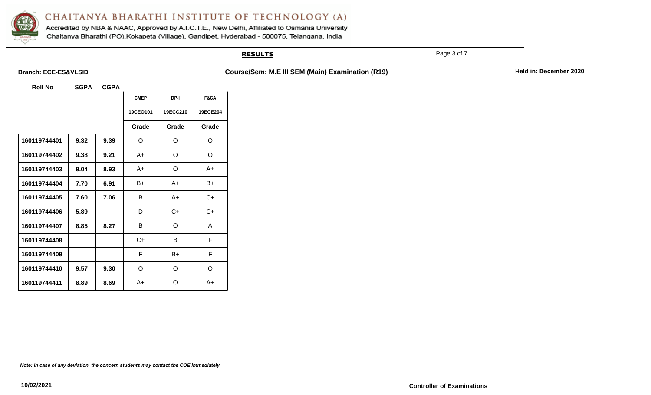

Accredited by NBA & NAAC, Approved by A.I.C.T.E., New Delhi, Affiliated to Osmania University Chaitanya Bharathi (PO), Kokapeta (Village), Gandipet, Hyderabad - 500075, Telangana, India

### **RESULTS**

Page 3 of 7

Branch: ECE-ES&VLSID **Course/Sem: M.E III SEM (Main) Examination (R19)** Held in: December 2020

**Roll No SGPA CGPA**

|              |      |      | <b>CMEP</b> | DP-I     | F&CA     |
|--------------|------|------|-------------|----------|----------|
|              |      |      | 19CEO101    | 19ECC210 | 19ECE204 |
|              |      |      | Grade       | Grade    | Grade    |
| 160119744401 | 9.32 | 9.39 | O           | O        | O        |
| 160119744402 | 9.38 | 9.21 | A+          | O        | O        |
| 160119744403 | 9.04 | 8.93 | A+          | O        | A+       |
| 160119744404 | 7.70 | 6.91 | B+          | A+       | $B+$     |
| 160119744405 | 7.60 | 7.06 | B           | A+       | C+       |
| 160119744406 | 5.89 |      | D           | $C+$     | $C+$     |
| 160119744407 | 8.85 | 8.27 | B           | O        | A        |
| 160119744408 |      |      | $C+$        | B        | F        |
| 160119744409 |      |      | F           | B+       | F        |
| 160119744410 | 9.57 | 9.30 | O           | O        | O        |
| 160119744411 | 8.89 | 8.69 | A+          | O        | $A+$     |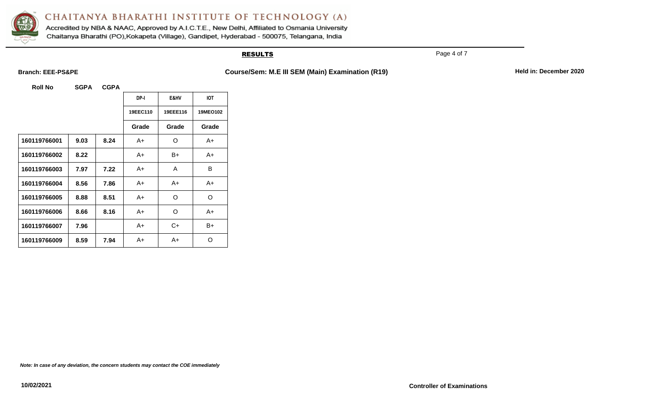

Accredited by NBA & NAAC, Approved by A.I.C.T.E., New Delhi, Affiliated to Osmania University Chaitanya Bharathi (PO), Kokapeta (Village), Gandipet, Hyderabad - 500075, Telangana, India

### **RESULTS**

Page 4 of 7

**Branch: EEE-PS&PE Course/Sem: M.E III SEM (Main) Examination (R19) Held in: December 2020** 

**Roll No SGPA CGPA**

|              |      |      | DP-I     | E&HV     | <b>IOT</b>      |
|--------------|------|------|----------|----------|-----------------|
|              |      |      | 19EEC110 | 19EEE116 | <b>19MEO102</b> |
|              |      |      | Grade    | Grade    | Grade           |
| 160119766001 | 9.03 | 8.24 | A+       | O        | A+              |
| 160119766002 | 8.22 |      | A+       | B+       | A+              |
| 160119766003 | 7.97 | 7.22 | A+       | A        | B               |
| 160119766004 | 8.56 | 7.86 | A+       | A+       | A+              |
| 160119766005 | 8.88 | 8.51 | A+       | O        | O               |
| 160119766006 | 8.66 | 8.16 | A+       | O        | A+              |
| 160119766007 | 7.96 |      | A+       | C+       | $B+$            |
| 160119766009 | 8.59 | 7.94 | A+       | A+       | O               |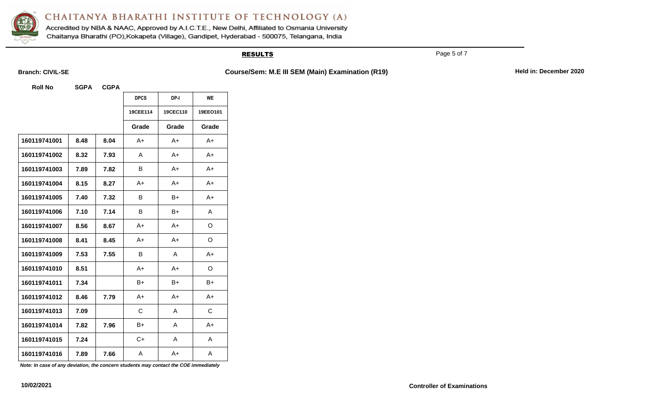

Accredited by NBA & NAAC, Approved by A.I.C.T.E., New Delhi, Affiliated to Osmania University Chaitanya Bharathi (PO), Kokapeta (Village), Gandipet, Hyderabad - 500075, Telangana, India

### **RESULTS**

Page 5 of 7

**Branch: CIVIL-SE COURSE 2020 COURSE COURSE COURSE COURSE COURSE COURSE Held in: December 2020** 

**Roll No SGPA CGPA**

|              |      |      | <b>DPCS</b> | DP-I     | <b>WE</b> |
|--------------|------|------|-------------|----------|-----------|
|              |      |      | 19CEE114    | 19CEC110 | 19EEO101  |
|              |      |      | Grade       | Grade    | Grade     |
| 160119741001 | 8.48 | 8.04 | $A+$        | $A+$     | $A+$      |
| 160119741002 | 8.32 | 7.93 | A           | A+       | $A+$      |
| 160119741003 | 7.89 | 7.82 | В           | A+       | A+        |
| 160119741004 | 8.15 | 8.27 | $A+$        | $A+$     | $A+$      |
| 160119741005 | 7.40 | 7.32 | B           | B+       | $A+$      |
| 160119741006 | 7.10 | 7.14 | B           | $B+$     | Α         |
| 160119741007 | 8.56 | 8.67 | $A+$        | $A+$     | O         |
| 160119741008 | 8.41 | 8.45 | $A+$        | $A+$     | O         |
| 160119741009 | 7.53 | 7.55 | B           | A        | $A+$      |
| 160119741010 | 8.51 |      | $A+$        | $A+$     | O         |
| 160119741011 | 7.34 |      | B+          | $B+$     | B+        |
| 160119741012 | 8.46 | 7.79 | $A+$        | A+       | A+        |
| 160119741013 | 7.09 |      | C           | A        | C         |
| 160119741014 | 7.82 | 7.96 | B+          | A        | $A+$      |
| 160119741015 | 7.24 |      | $C+$        | A        | A         |
| 160119741016 | 7.89 | 7.66 | A           | $A+$     | A         |

*Note: In case of any deviation, the concern students may contact the COE immediately*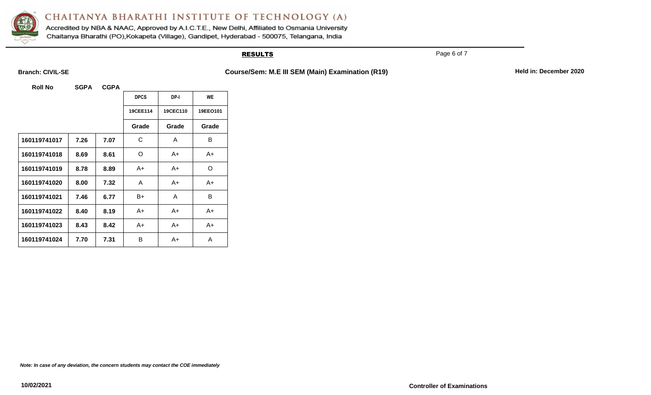

Accredited by NBA & NAAC, Approved by A.I.C.T.E., New Delhi, Affiliated to Osmania University Chaitanya Bharathi (PO), Kokapeta (Village), Gandipet, Hyderabad - 500075, Telangana, India

### **RESULTS**

Page 6 of 7

**Branch: CIVIL-SE COURSE 2020 COURSE COURSE COURSE COURSE COURSE COURSE Held in: December 2020** 

**Roll No SGPA CGPA**

|              |      |      | <b>DPCS</b> | DP-I     | WE       |
|--------------|------|------|-------------|----------|----------|
|              |      |      | 19CEE114    | 19CEC110 | 19EEO101 |
|              |      |      | Grade       | Grade    | Grade    |
| 160119741017 | 7.26 | 7.07 | С           | A        | В        |
| 160119741018 | 8.69 | 8.61 | O           | A+       | A+       |
| 160119741019 | 8.78 | 8.89 | A+          | A+       | O        |
| 160119741020 | 8.00 | 7.32 | A           | A+       | A+       |
| 160119741021 | 7.46 | 6.77 | B+          | A        | B        |
| 160119741022 | 8.40 | 8.19 | A+          | A+       | A+       |
| 160119741023 | 8.43 | 8.42 | A+          | A+       | A+       |
| 160119741024 | 7.70 | 7.31 | B           | A+       | A        |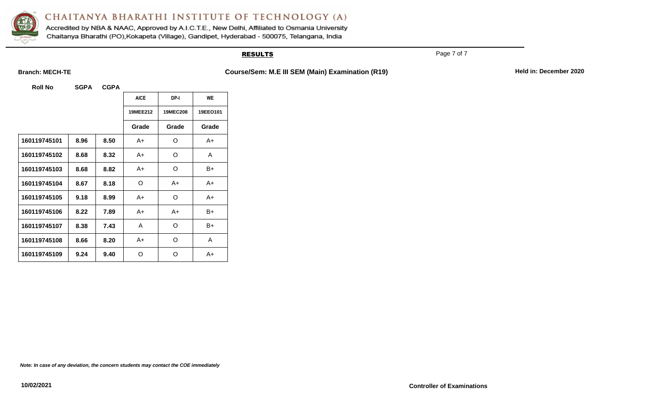

Accredited by NBA & NAAC, Approved by A.I.C.T.E., New Delhi, Affiliated to Osmania University Chaitanya Bharathi (PO), Kokapeta (Village), Gandipet, Hyderabad - 500075, Telangana, India

### **RESULTS**

Page 7 of 7

**Branch: MECH-TE All all access Course/Sem: M.E III SEM (Main) Examination (R19) Held in: December 2020** 

**Roll No SGPA CGPA**

|              |      |      | <b>AICE</b>     | DP-I            | <b>WE</b> |
|--------------|------|------|-----------------|-----------------|-----------|
|              |      |      | <b>19MEE212</b> | <b>19MEC208</b> | 19EE0101  |
|              |      |      | Grade           | Grade           | Grade     |
| 160119745101 | 8.96 | 8.50 | A+              | O               | A+        |
| 160119745102 | 8.68 | 8.32 | A+              | O               | A         |
| 160119745103 | 8.68 | 8.82 | A+              | O               | B+        |
| 160119745104 | 8.67 | 8.18 | O               | A+              | A+        |
| 160119745105 | 9.18 | 8.99 | A+              | O               | A+        |
| 160119745106 | 8.22 | 7.89 | A+              | A+              | B+        |
| 160119745107 | 8.38 | 7.43 | A               | O               | B+        |
| 160119745108 | 8.66 | 8.20 | A+              | O               | A         |
| 160119745109 | 9.24 | 9.40 | O               | O               | A+        |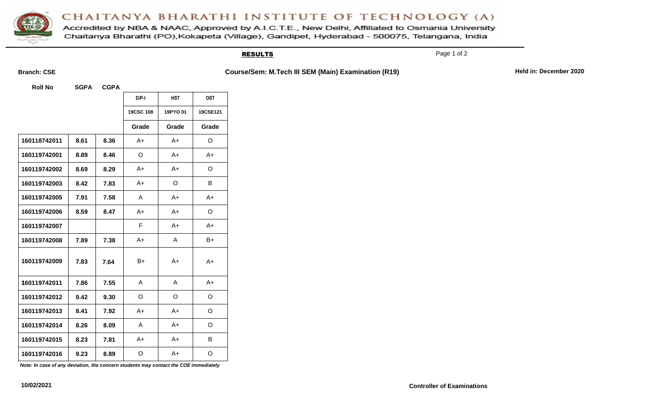Accredited by NBA & NAAC, Approved by A.I.C.T.E., New Delhi, Affiliated to Osmania University Chaitanya Bharathi (PO), Kokapeta (Village), Gandipet, Hyderabad - 500075, Telangana, India

### **RESULTS**

Page 1 of 2

**Branch: CSE COURSE 2020 COURSE ACTES AND COURSE/Sem: M.Tech III SEM (Main) Examination (R19) Held in: December 2020** 

**Roll No SGPA CGPA**

|              |      |      | $D/P-I$   | <b>HST</b> | <b>OST</b> |
|--------------|------|------|-----------|------------|------------|
|              |      |      | 19CSC 108 | 19PYO 01   | 19CSE121   |
|              |      |      | Grade     | Grade      | Grade      |
| 160118742011 | 8.61 | 8.36 | $A+$      | $A+$       | O          |
| 160119742001 | 8.89 | 8.46 | O         | A+         | $A+$       |
| 160119742002 | 8.69 | 8.29 | A+        | A+         | O          |
| 160119742003 | 8.42 | 7.83 | $A+$      | O          | B          |
| 160119742005 | 7.91 | 7.58 | A         | A+         | $A+$       |
| 160119742006 | 8.59 | 8.47 | $A+$      | A+         | O          |
| 160119742007 |      |      | F         | $A+$       | $A+$       |
| 160119742008 | 7.89 | 7.38 | $A+$      | A          | B+         |
| 160119742009 | 7.83 | 7.64 | B+        | A+         | $A+$       |
| 160119742011 | 7.86 | 7.55 | A         | Α          | $A+$       |
| 160119742012 | 9.42 | 9.30 | O         | O          | O          |
| 160119742013 | 8.41 | 7.92 | $A+$      | $A+$       | O          |
| 160119742014 | 8.26 | 8.09 | A         | $A+$       | O          |
| 160119742015 | 8.23 | 7.81 | $A+$      | $A+$       | В          |
| 160119742016 | 9.23 | 8.89 | O         | $A+$       | O          |